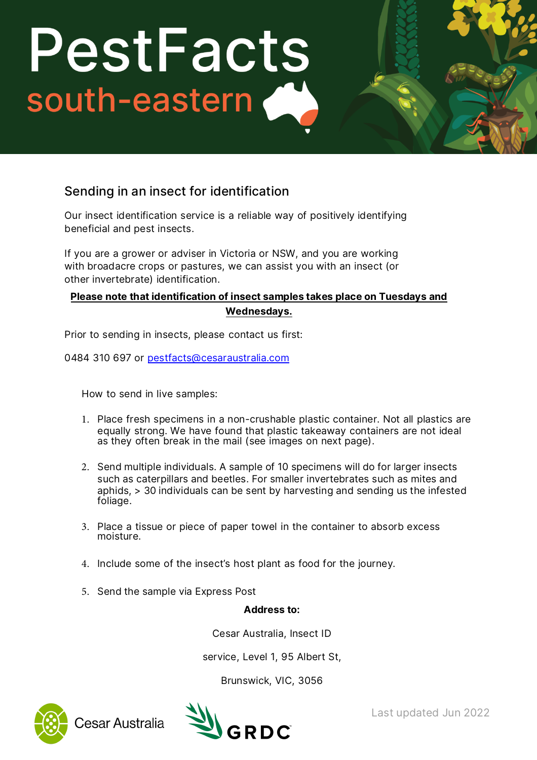## PestFacts south-eastern

## Sending in an insect for identification

Our insect identification service is a reliable way of positively identifying

beneficial and pest insects. If you are a grower or adviser in Victoria or NSW, and you are working with broadacre crops or pastures, we can assist you with an insect (or other invertebrate) identification.

## **Please note that identification of insect samples takes place on Tuesdays and Wednesdays.**

Prior to sending [in insects, please contact us f](mailto:pestfacts@cesaraustralia.com)irst:<br>0484 310 697 or pestfacts@cesaraustralia.com

How to send in live samples:

- 1. Place fresh specimens in a non-crushable plastic container. Not all plastics are equally strong. We have found that plastic takeaway containers are not ideal as they often break in the mail (see images on next page).
- 2. Send multiple individuals. A sample of 10 specimens will do for larger insects such as caterpillars and beetles. For smaller invertebrates such as mites and aphids, > 30 individuals can be sent by harvesting and sending us the infested foliage.
- 3. Place a tissue or piece of paper towel in the container to absorb excess moisture.
- 4. Include some of the insect's host plant as food for the journey.
- 5. Send the sample via Express Post

**Address to:** 

Cesar Australia, Insect ID service, Level 1, 95 Albert St, Brunswick, VIC, <sup>3056</sup>



Cesar Australia



Last updated Jun 2022